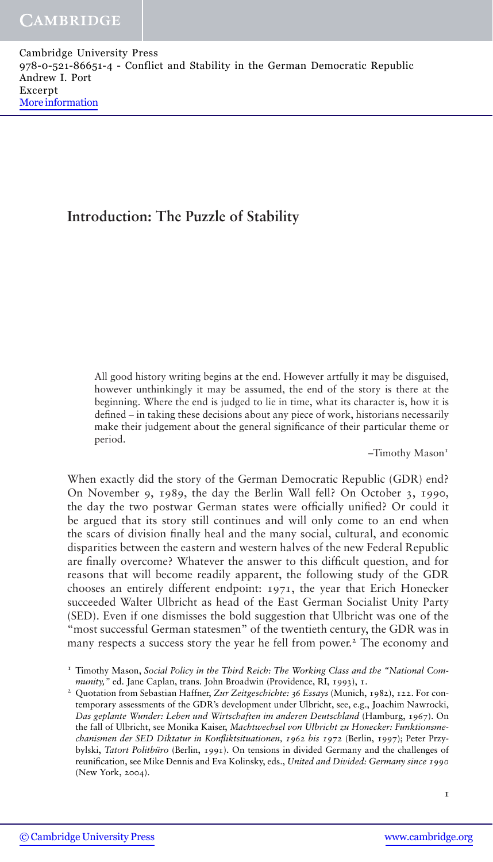# **Introduction: The Puzzle of Stability**

All good history writing begins at the end. However artfully it may be disguised, however unthinkingly it may be assumed, the end of the story is there at the beginning. Where the end is judged to lie in time, what its character is, how it is defined – in taking these decisions about any piece of work, historians necessarily make their judgement about the general significance of their particular theme or period.

 $-Timothy$  Mason<sup>1</sup>

When exactly did the story of the German Democratic Republic (GDR) end? On November 9, 1989, the day the Berlin Wall fell? On October 3, 1990, the day the two postwar German states were officially unified? Or could it be argued that its story still continues and will only come to an end when the scars of division finally heal and the many social, cultural, and economic disparities between the eastern and western halves of the new Federal Republic are finally overcome? Whatever the answer to this difficult question, and for reasons that will become readily apparent, the following study of the GDR chooses an entirely different endpoint: 1971, the year that Erich Honecker succeeded Walter Ulbricht as head of the East German Socialist Unity Party (SED). Even if one dismisses the bold suggestion that Ulbricht was one of the "most successful German statesmen" of the twentieth century, the GDR was in many respects a success story the year he fell from power.<sup>2</sup> The economy and

<sup>2</sup> Quotation from Sebastian Haffner, *Zur Zeitgeschichte: 36 Essays* (Munich, 1982), 122. For contemporary assessments of the GDR's development under Ulbricht, see, e.g., Joachim Nawrocki, *Das geplante Wunder: Leben und Wirtschaften im anderen Deutschland* (Hamburg, 1967). On the fall of Ulbricht, see Monika Kaiser, *Machtwechsel von Ulbricht zu Honecker: Funktionsmechanismen der SED Diktatur in Konfliktsituationen, 1962 bis 1972* (Berlin, 1997); Peter Przybylski, *Tatort Politbüro* (Berlin, 1991). On tensions in divided Germany and the challenges of reunification, see Mike Dennis and Eva Kolinsky, eds., *United and Divided: Germany since 1990* (New York, 2004).

<sup>&</sup>lt;sup>1</sup> Timothy Mason, Social Policy in the Third Reich: The Working Class and the "National Com*munity,"* ed. Jane Caplan, trans. John Broadwin (Providence, RI, 1993), 1.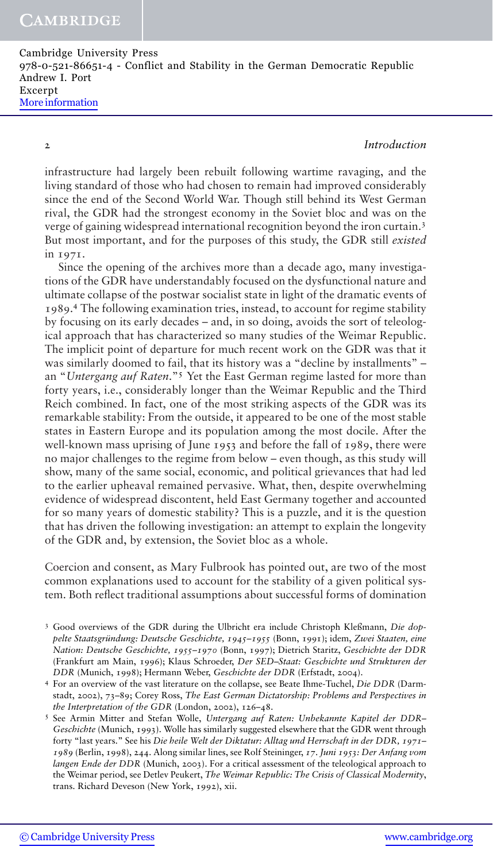2 *Introduction*

infrastructure had largely been rebuilt following wartime ravaging, and the living standard of those who had chosen to remain had improved considerably since the end of the Second World War. Though still behind its West German rival, the GDR had the strongest economy in the Soviet bloc and was on the verge of gaining widespread international recognition beyond the iron curtain.<sup>3</sup> But most important, and for the purposes of this study, the GDR still *existed* in 1971.

Since the opening of the archives more than a decade ago, many investigations of the GDR have understandably focused on the dysfunctional nature and ultimate collapse of the postwar socialist state in light of the dramatic events of 1989. <sup>4</sup> The following examination tries, instead, to account for regime stability by focusing on its early decades – and, in so doing, avoids the sort of teleological approach that has characterized so many studies of the Weimar Republic. The implicit point of departure for much recent work on the GDR was that it was similarly doomed to fail, that its history was a "decline by installments" – an "*Untergang auf Raten*."<sup>5</sup> Yet the East German regime lasted for more than forty years, i.e., considerably longer than the Weimar Republic and the Third Reich combined. In fact, one of the most striking aspects of the GDR was its remarkable stability: From the outside, it appeared to be one of the most stable states in Eastern Europe and its population among the most docile. After the well-known mass uprising of June 1953 and before the fall of 1989, there were no major challenges to the regime from below – even though, as this study will show, many of the same social, economic, and political grievances that had led to the earlier upheaval remained pervasive. What, then, despite overwhelming evidence of widespread discontent, held East Germany together and accounted for so many years of domestic stability? This is a puzzle, and it is the question that has driven the following investigation: an attempt to explain the longevity of the GDR and, by extension, the Soviet bloc as a whole.

Coercion and consent, as Mary Fulbrook has pointed out, are two of the most common explanations used to account for the stability of a given political system. Both reflect traditional assumptions about successful forms of domination

- <sup>3</sup> Good overviews of the GDR during the Ulbricht era include Christoph Kleßmann, *Die doppelte Staatsgrundung: Deutsche Geschichte, 1945–1955 ¨* (Bonn, 1991); idem, *Zwei Staaten, eine Nation: Deutsche Geschichte, 1955–1970* (Bonn, 1997); Dietrich Staritz, *Geschichte der DDR* (Frankfurt am Main, 1996); Klaus Schroeder, *Der SED–Staat: Geschichte und Strukturen der DDR* (Munich, 1998); Hermann Weber, *Geschichte der DDR* (Erfstadt, 2004).
- <sup>4</sup> For an overview of the vast literature on the collapse, see Beate Ihme-Tuchel, *Die DDR* (Darmstadt, 2002), 73–89; Corey Ross, *The East German Dictatorship: Problems and Perspectives in the Interpretation of the GDR* (London, 2002), 126–48.
- <sup>5</sup> See Armin Mitter and Stefan Wolle, *Untergang auf Raten: Unbekannte Kapitel der DDR– Geschichte* (Munich, 1993). Wolle has similarly suggested elsewhere that the GDR went through forty "last years." See his *Die heile Welt der Diktatur: Alltag und Herrschaft in der DDR, 1971– 1989* (Berlin, 1998), 244. Along similar lines, see Rolf Steininger, *17. Juni 1953: Der Anfang vom langen Ende der DDR* (Munich, 2003). For a critical assessment of the teleological approach to the Weimar period, see Detlev Peukert, *The Weimar Republic: The Crisis of Classical Modernity*, trans. Richard Deveson (New York, 1992), xii.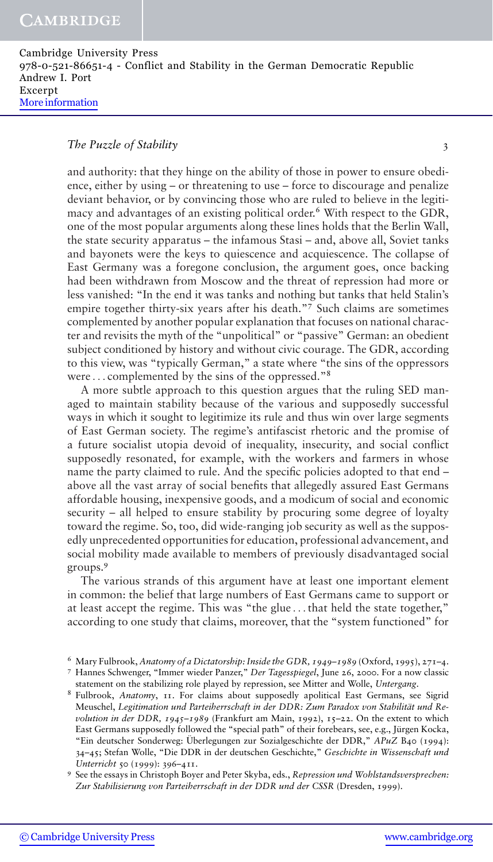### *The Puzzle of Stability* 3

and authority: that they hinge on the ability of those in power to ensure obedience, either by using – or threatening to use – force to discourage and penalize deviant behavior, or by convincing those who are ruled to believe in the legitimacy and advantages of an existing political order.<sup>6</sup> With respect to the GDR, one of the most popular arguments along these lines holds that the Berlin Wall, the state security apparatus – the infamous Stasi – and, above all, Soviet tanks and bayonets were the keys to quiescence and acquiescence. The collapse of East Germany was a foregone conclusion, the argument goes, once backing had been withdrawn from Moscow and the threat of repression had more or less vanished: "In the end it was tanks and nothing but tanks that held Stalin's empire together thirty-six years after his death."<sup>7</sup> Such claims are sometimes complemented by another popular explanation that focuses on national character and revisits the myth of the "unpolitical" or "passive" German: an obedient subject conditioned by history and without civic courage. The GDR, according to this view, was "typically German," a state where "the sins of the oppressors were ... complemented by the sins of the oppressed."<sup>8</sup>

A more subtle approach to this question argues that the ruling SED managed to maintain stability because of the various and supposedly successful ways in which it sought to legitimize its rule and thus win over large segments of East German society. The regime's antifascist rhetoric and the promise of a future socialist utopia devoid of inequality, insecurity, and social conflict supposedly resonated, for example, with the workers and farmers in whose name the party claimed to rule. And the specific policies adopted to that end – above all the vast array of social benefits that allegedly assured East Germans affordable housing, inexpensive goods, and a modicum of social and economic security – all helped to ensure stability by procuring some degree of loyalty toward the regime. So, too, did wide-ranging job security as well as the supposedly unprecedented opportunities for education, professional advancement, and social mobility made available to members of previously disadvantaged social groups.<sup>9</sup>

The various strands of this argument have at least one important element in common: the belief that large numbers of East Germans came to support or at least accept the regime. This was "the glue ... that held the state together," according to one study that claims, moreover, that the "system functioned" for

<sup>6</sup> Mary Fulbrook, *Anatomy of a Dictatorship: Inside the GDR, 1949–1989* (Oxford, 1995), 271–4.

<sup>7</sup> Hannes Schwenger, "Immer wieder Panzer," *Der Tagesspiegel*, June 26, 2000. For a now classic statement on the stabilizing role played by repression, see Mitter and Wolle, *Untergang*.

<sup>8</sup> Fulbrook, *Anatomy*, 11. For claims about supposedly apolitical East Germans, see Sigrid Meuschel, *Legitimation und Parteiherrschaft in der DDR: Zum Paradox von Stabilitat und Re- ¨ volution in der DDR, 1945–1989* (Frankfurt am Main, 1992), 15–22. On the extent to which East Germans supposedly followed the "special path" of their forebears, see, e.g., Jürgen Kocka, "Ein deutscher Sonderweg: Uberlegungen zur Sozialgeschichte der DDR," ¨ *APuZ* B40 (1994): 34–45; Stefan Wolle, "Die DDR in der deutschen Geschichte," *Geschichte in Wissenschaft und Unterricht* 50 (1999): 396–411.

<sup>9</sup> See the essays in Christoph Boyer and Peter Skyba, eds., *Repression und Wohlstandsversprechen: Zur Stabilisierung von Parteiherrschaft in der DDR und der CSSR* (Dresden, 1999).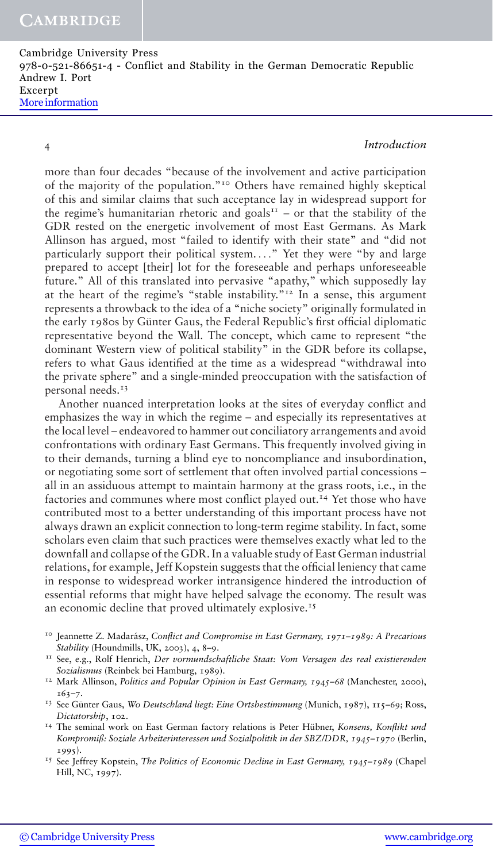#### 4 *Introduction*

more than four decades "because of the involvement and active participation of the majority of the population."<sup>10</sup> Others have remained highly skeptical of this and similar claims that such acceptance lay in widespread support for the regime's humanitarian rhetoric and goals $11 -$  or that the stability of the GDR rested on the energetic involvement of most East Germans. As Mark Allinson has argued, most "failed to identify with their state" and "did not particularly support their political system. ..." Yet they were "by and large prepared to accept [their] lot for the foreseeable and perhaps unforeseeable future." All of this translated into pervasive "apathy," which supposedly lay at the heart of the regime's "stable instability."<sup>12</sup> In a sense, this argument represents a throwback to the idea of a "niche society" originally formulated in the early 1980s by Günter Gaus, the Federal Republic's first official diplomatic representative beyond the Wall. The concept, which came to represent "the dominant Western view of political stability" in the GDR before its collapse, refers to what Gaus identified at the time as a widespread "withdrawal into the private sphere" and a single-minded preoccupation with the satisfaction of personal needs.<sup>13</sup>

Another nuanced interpretation looks at the sites of everyday conflict and emphasizes the way in which the regime – and especially its representatives at the local level – endeavored to hammer out conciliatory arrangements and avoid confrontations with ordinary East Germans. This frequently involved giving in to their demands, turning a blind eye to noncompliance and insubordination, or negotiating some sort of settlement that often involved partial concessions – all in an assiduous attempt to maintain harmony at the grass roots, i.e., in the factories and communes where most conflict played out.<sup>14</sup> Yet those who have contributed most to a better understanding of this important process have not always drawn an explicit connection to long-term regime stability. In fact, some scholars even claim that such practices were themselves exactly what led to the downfall and collapse of the GDR. In a valuable study of East German industrial relations, for example, Jeff Kopstein suggests that the official leniency that came in response to widespread worker intransigence hindered the introduction of essential reforms that might have helped salvage the economy. The result was an economic decline that proved ultimately explosive.<sup>15</sup>

- <sup>10</sup> Jeannette Z. Madarász, Conflict and Compromise in East Germany, 1971–1989: A Precarious *Stability* (Houndmills, UK, 2003), 4, 8–9.
- <sup>11</sup> See, e.g., Rolf Henrich, *Der vormundschaftliche Staat: Vom Versagen des real existierenden Sozialismus* (Reinbek bei Hamburg, 1989).
- <sup>12</sup> Mark Allinson, *Politics and Popular Opinion in East Germany, 1945–68* (Manchester, 2000), 163–7.
- <sup>13</sup> See Günter Gaus, Wo Deutschland liegt: Eine Ortsbestimmung (Munich, 1987), 115–69; Ross, *Dictatorship*, 102.
- <sup>14</sup> The seminal work on East German factory relations is Peter Hübner, Konsens, Konflikt und *Kompromiß: Soziale Arbeiterinteressen und Sozialpolitik in der SBZ/DDR, 1945–1970* (Berlin, 1995).
- <sup>15</sup> See Jeffrey Kopstein, *The Politics of Economic Decline in East Germany*, 1945-1989 (Chapel Hill, NC, 1997).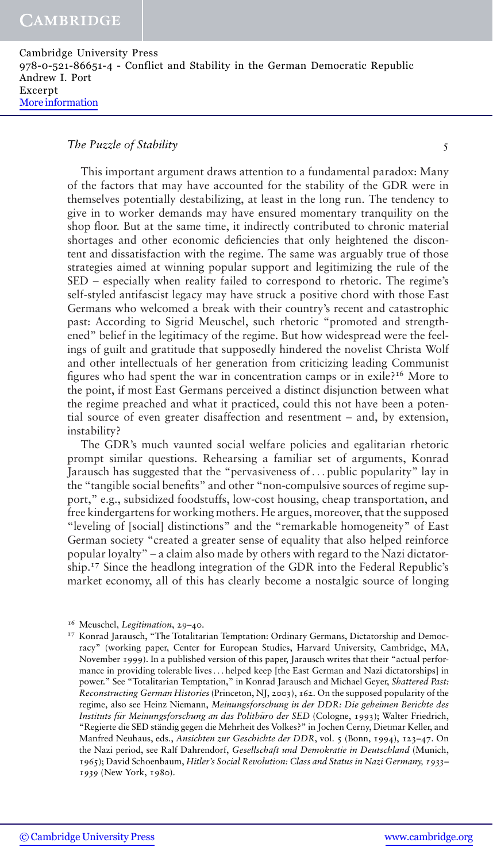## *The Puzzle of Stability* 5

This important argument draws attention to a fundamental paradox: Many of the factors that may have accounted for the stability of the GDR were in themselves potentially destabilizing, at least in the long run. The tendency to give in to worker demands may have ensured momentary tranquility on the shop floor. But at the same time, it indirectly contributed to chronic material shortages and other economic deficiencies that only heightened the discontent and dissatisfaction with the regime. The same was arguably true of those strategies aimed at winning popular support and legitimizing the rule of the SED – especially when reality failed to correspond to rhetoric. The regime's self-styled antifascist legacy may have struck a positive chord with those East Germans who welcomed a break with their country's recent and catastrophic past: According to Sigrid Meuschel, such rhetoric "promoted and strengthened" belief in the legitimacy of the regime. But how widespread were the feelings of guilt and gratitude that supposedly hindered the novelist Christa Wolf and other intellectuals of her generation from criticizing leading Communist figures who had spent the war in concentration camps or in exile?<sup>16</sup> More to the point, if most East Germans perceived a distinct disjunction between what the regime preached and what it practiced, could this not have been a potential source of even greater disaffection and resentment – and, by extension, instability?

The GDR's much vaunted social welfare policies and egalitarian rhetoric prompt similar questions. Rehearsing a familiar set of arguments, Konrad Jarausch has suggested that the "pervasiveness of ... public popularity" lay in the "tangible social benefits" and other "non-compulsive sources of regime support," e.g., subsidized foodstuffs, low-cost housing, cheap transportation, and free kindergartens for working mothers. He argues, moreover, that the supposed "leveling of [social] distinctions" and the "remarkable homogeneity" of East German society "created a greater sense of equality that also helped reinforce popular loyalty" – a claim also made by others with regard to the Nazi dictatorship.<sup>17</sup> Since the headlong integration of the GDR into the Federal Republic's market economy, all of this has clearly become a nostalgic source of longing

<sup>16</sup> Meuschel, *Legitimation*, 29–40.

<sup>&</sup>lt;sup>17</sup> Konrad Jarausch, "The Totalitarian Temptation: Ordinary Germans, Dictatorship and Democracy" (working paper, Center for European Studies, Harvard University, Cambridge, MA, November 1999). In a published version of this paper, Jarausch writes that their "actual performance in providing tolerable lives... helped keep [the East German and Nazi dictatorships] in power." See "Totalitarian Temptation," in Konrad Jarausch and Michael Geyer, *Shattered Past: Reconstructing German Histories* (Princeton, NJ, 2003), 162. On the supposed popularity of the regime, also see Heinz Niemann, *Meinungsforschung in der DDR: Die geheimen Berichte des* Instituts für Meinungsforschung an das Politbüro der SED (Cologne, 1993); Walter Friedrich, "Regierte die SED standig gegen die Mehrheit des Volkes?" in Jochen Cerny, Dietmar Keller, and ¨ Manfred Neuhaus, eds., *Ansichten zur Geschichte der DDR*, vol. 5 (Bonn, 1994), 123–47. On the Nazi period, see Ralf Dahrendorf, *Gesellschaft und Demokratie in Deutschland* (Munich, 1965); David Schoenbaum, *Hitler's Social Revolution: Class and Status in Nazi Germany, 1933– 1939* (New York, 1980).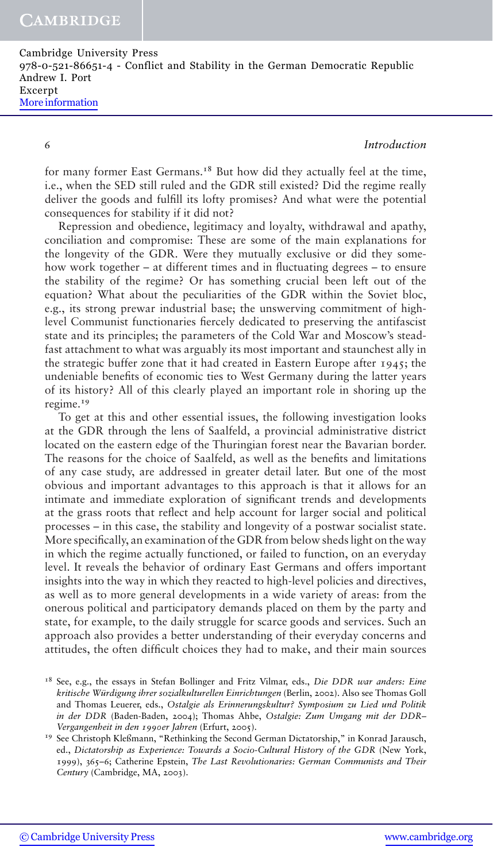#### 6 *Introduction*

for many former East Germans.<sup>18</sup> But how did they actually feel at the time, i.e., when the SED still ruled and the GDR still existed? Did the regime really deliver the goods and fulfill its lofty promises? And what were the potential consequences for stability if it did not?

Repression and obedience, legitimacy and loyalty, withdrawal and apathy, conciliation and compromise: These are some of the main explanations for the longevity of the GDR. Were they mutually exclusive or did they somehow work together – at different times and in fluctuating degrees – to ensure the stability of the regime? Or has something crucial been left out of the equation? What about the peculiarities of the GDR within the Soviet bloc, e.g., its strong prewar industrial base; the unswerving commitment of highlevel Communist functionaries fiercely dedicated to preserving the antifascist state and its principles; the parameters of the Cold War and Moscow's steadfast attachment to what was arguably its most important and staunchest ally in the strategic buffer zone that it had created in Eastern Europe after 1945; the undeniable benefits of economic ties to West Germany during the latter years of its history? All of this clearly played an important role in shoring up the regime.<sup>19</sup>

To get at this and other essential issues, the following investigation looks at the GDR through the lens of Saalfeld, a provincial administrative district located on the eastern edge of the Thuringian forest near the Bavarian border. The reasons for the choice of Saalfeld, as well as the benefits and limitations of any case study, are addressed in greater detail later. But one of the most obvious and important advantages to this approach is that it allows for an intimate and immediate exploration of significant trends and developments at the grass roots that reflect and help account for larger social and political processes – in this case, the stability and longevity of a postwar socialist state. More specifically, an examination of the GDR from below sheds light on the way in which the regime actually functioned, or failed to function, on an everyday level. It reveals the behavior of ordinary East Germans and offers important insights into the way in which they reacted to high-level policies and directives, as well as to more general developments in a wide variety of areas: from the onerous political and participatory demands placed on them by the party and state, for example, to the daily struggle for scarce goods and services. Such an approach also provides a better understanding of their everyday concerns and attitudes, the often difficult choices they had to make, and their main sources

<sup>18</sup> See, e.g., the essays in Stefan Bollinger and Fritz Vilmar, eds., *Die DDR war anders: Eine kritische Wurdigung ihrer sozialkulturellen Einrichtungen ¨* (Berlin, 2002). Also see Thomas Goll and Thomas Leuerer, eds., *Ostalgie als Erinnerungskultur? Symposium zu Lied und Politik in der DDR* (Baden-Baden, 2004); Thomas Ahbe, *Ostalgie: Zum Umgang mit der DDR– Vergangenheit in den 1990er Jahren* (Erfurt, 2005).

<sup>19</sup> See Christoph Kleßmann, "Rethinking the Second German Dictatorship," in Konrad Jarausch, ed., *Dictatorship as Experience: Towards a Socio-Cultural History of the GDR* (New York, 1999), 365–6; Catherine Epstein, *The Last Revolutionaries: German Communists and Their Century* (Cambridge, MA, 2003).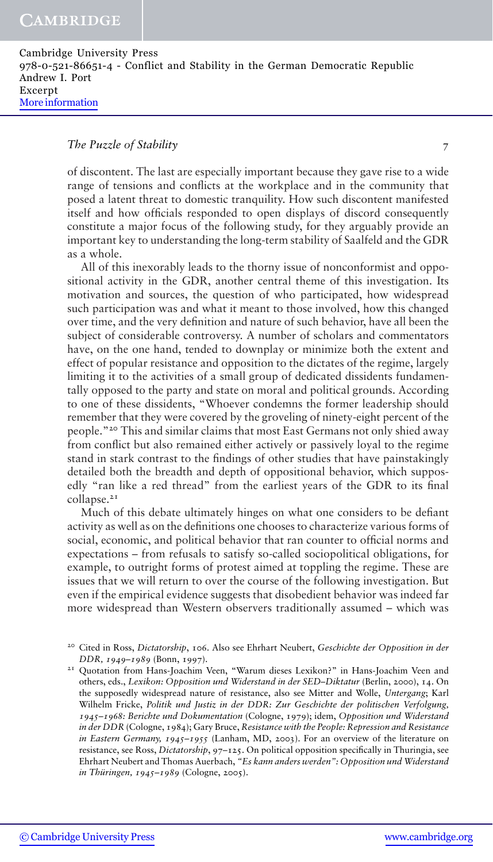# *The Puzzle of Stability* 7

of discontent. The last are especially important because they gave rise to a wide range of tensions and conflicts at the workplace and in the community that posed a latent threat to domestic tranquility. How such discontent manifested itself and how officials responded to open displays of discord consequently constitute a major focus of the following study, for they arguably provide an important key to understanding the long-term stability of Saalfeld and the GDR as a whole.

All of this inexorably leads to the thorny issue of nonconformist and oppositional activity in the GDR, another central theme of this investigation. Its motivation and sources, the question of who participated, how widespread such participation was and what it meant to those involved, how this changed over time, and the very definition and nature of such behavior, have all been the subject of considerable controversy. A number of scholars and commentators have, on the one hand, tended to downplay or minimize both the extent and effect of popular resistance and opposition to the dictates of the regime, largely limiting it to the activities of a small group of dedicated dissidents fundamentally opposed to the party and state on moral and political grounds. According to one of these dissidents, "Whoever condemns the former leadership should remember that they were covered by the groveling of ninety-eight percent of the people."<sup>20</sup> This and similar claims that most East Germans not only shied away from conflict but also remained either actively or passively loyal to the regime stand in stark contrast to the findings of other studies that have painstakingly detailed both the breadth and depth of oppositional behavior, which supposedly "ran like a red thread" from the earliest years of the GDR to its final collapse.<sup>21</sup>

Much of this debate ultimately hinges on what one considers to be defiant activity as well as on the definitions one chooses to characterize various forms of social, economic, and political behavior that ran counter to official norms and expectations – from refusals to satisfy so-called sociopolitical obligations, for example, to outright forms of protest aimed at toppling the regime. These are issues that we will return to over the course of the following investigation. But even if the empirical evidence suggests that disobedient behavior was indeed far more widespread than Western observers traditionally assumed – which was

<sup>20</sup> Cited in Ross, *Dictatorship*, 106. Also see Ehrhart Neubert, *Geschichte der Opposition in der DDR, 1949–1989* (Bonn, 1997).

<sup>21</sup> Quotation from Hans-Joachim Veen, "Warum dieses Lexikon?" in Hans-Joachim Veen and others, eds., *Lexikon: Opposition und Widerstand in der SED–Diktatur* (Berlin, 2000), 14. On the supposedly widespread nature of resistance, also see Mitter and Wolle, *Untergang*; Karl Wilhelm Fricke, *Politik und Justiz in der DDR: Zur Geschichte der politischen Verfolgung, 1945–1968: Berichte und Dokumentation* (Cologne, 1979); idem, *Opposition und Widerstand in der DDR* (Cologne, 1984); Gary Bruce, *Resistance with the People: Repression and Resistance in Eastern Germany, 1945–1955* (Lanham, MD, 2003). For an overview of the literature on resistance, see Ross, *Dictatorship*, 97–125. On political opposition specifically in Thuringia, see Ehrhart Neubert and Thomas Auerbach, *"Es kann anders werden": Opposition und Widerstand in Thüringen, 1945–1989* (Cologne, 2005).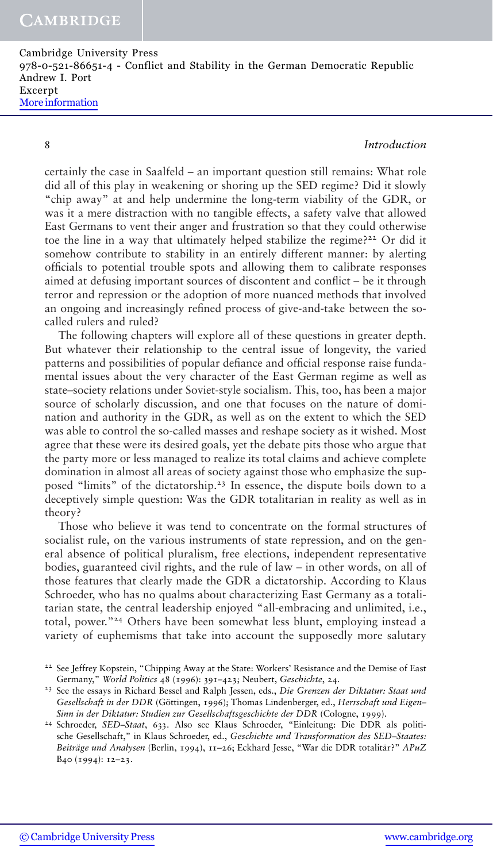8 *Introduction*

certainly the case in Saalfeld – an important question still remains: What role did all of this play in weakening or shoring up the SED regime? Did it slowly "chip away" at and help undermine the long-term viability of the GDR, or was it a mere distraction with no tangible effects, a safety valve that allowed East Germans to vent their anger and frustration so that they could otherwise toe the line in a way that ultimately helped stabilize the regime?<sup>22</sup> Or did it somehow contribute to stability in an entirely different manner: by alerting officials to potential trouble spots and allowing them to calibrate responses aimed at defusing important sources of discontent and conflict – be it through terror and repression or the adoption of more nuanced methods that involved an ongoing and increasingly refined process of give-and-take between the socalled rulers and ruled?

The following chapters will explore all of these questions in greater depth. But whatever their relationship to the central issue of longevity, the varied patterns and possibilities of popular defiance and official response raise fundamental issues about the very character of the East German regime as well as state–society relations under Soviet-style socialism. This, too, has been a major source of scholarly discussion, and one that focuses on the nature of domination and authority in the GDR, as well as on the extent to which the SED was able to control the so-called masses and reshape society as it wished. Most agree that these were its desired goals, yet the debate pits those who argue that the party more or less managed to realize its total claims and achieve complete domination in almost all areas of society against those who emphasize the supposed "limits" of the dictatorship.<sup>23</sup> In essence, the dispute boils down to a deceptively simple question: Was the GDR totalitarian in reality as well as in theory?

Those who believe it was tend to concentrate on the formal structures of socialist rule, on the various instruments of state repression, and on the general absence of political pluralism, free elections, independent representative bodies, guaranteed civil rights, and the rule of law – in other words, on all of those features that clearly made the GDR a dictatorship. According to Klaus Schroeder, who has no qualms about characterizing East Germany as a totalitarian state, the central leadership enjoyed "all-embracing and unlimited, i.e., total, power."<sup>24</sup> Others have been somewhat less blunt, employing instead a variety of euphemisms that take into account the supposedly more salutary

<sup>&</sup>lt;sup>22</sup> See Jeffrey Kopstein, "Chipping Away at the State: Workers' Resistance and the Demise of East Germany," *World Politics* 48 (1996): 391–423; Neubert, *Geschichte*, 24.

<sup>23</sup> See the essays in Richard Bessel and Ralph Jessen, eds., *Die Grenzen der Diktatur: Staat und Gesellschaft in der DDR* (Gottingen, ¨ 1996); Thomas Lindenberger, ed., *Herrschaft und Eigen– Sinn in der Diktatur: Studien zur Gesellschaftsgeschichte der DDR* (Cologne, 1999).

<sup>24</sup> Schroeder, *SED–Staat*, 633. Also see Klaus Schroeder, "Einleitung: Die DDR als politische Gesellschaft," in Klaus Schroeder, ed., *Geschichte und Transformation des SED–Staates: Beitrage und Analysen ¨* (Berlin, 1994), 11–26; Eckhard Jesse, "War die DDR totalitar?" ¨ *APuZ* B40 (1994): 12–23.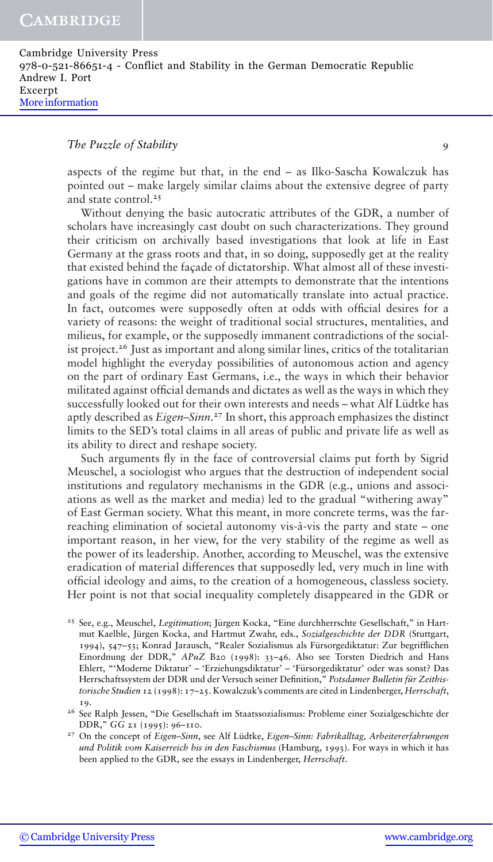### *The Puzzle of Stability* 9

aspects of the regime but that, in the end – as Ilko-Sascha Kowalczuk has pointed out – make largely similar claims about the extensive degree of party and state control.<sup>25</sup>

Without denying the basic autocratic attributes of the GDR, a number of scholars have increasingly cast doubt on such characterizations. They ground their criticism on archivally based investigations that look at life in East Germany at the grass roots and that, in so doing, supposedly get at the reality that existed behind the facade of dictatorship. What almost all of these investigations have in common are their attempts to demonstrate that the intentions and goals of the regime did not automatically translate into actual practice. In fact, outcomes were supposedly often at odds with official desires for a variety of reasons: the weight of traditional social structures, mentalities, and milieus, for example, or the supposedly immanent contradictions of the socialist project.<sup>26</sup> Just as important and along similar lines, critics of the totalitarian model highlight the everyday possibilities of autonomous action and agency on the part of ordinary East Germans, i.e., the ways in which their behavior militated against official demands and dictates as well as the ways in which they successfully looked out for their own interests and needs - what Alf Lüdtke has aptly described as *Eigen–Sinn*. <sup>27</sup> In short, this approach emphasizes the distinct limits to the SED's total claims in all areas of public and private life as well as its ability to direct and reshape society.

Such arguments fly in the face of controversial claims put forth by Sigrid Meuschel, a sociologist who argues that the destruction of independent social institutions and regulatory mechanisms in the GDR (e.g., unions and associations as well as the market and media) led to the gradual "withering away" of East German society. What this meant, in more concrete terms, was the farreaching elimination of societal autonomy vis-à-vis the party and state  $-$  one important reason, in her view, for the very stability of the regime as well as the power of its leadership. Another, according to Meuschel, was the extensive eradication of material differences that supposedly led, very much in line with official ideology and aims, to the creation of a homogeneous, classless society. Her point is not that social inequality completely disappeared in the GDR or

<sup>&</sup>lt;sup>25</sup> See, e.g., Meuschel, *Legitimation*; Jürgen Kocka, "Eine durchherrschte Gesellschaft," in Hartmut Kaelble, Jürgen Kocka, and Hartmut Zwahr, eds., Sozialgeschichte der DDR (Stuttgart, 1994), 547–53; Konrad Jarausch, "Realer Sozialismus als Fursorgediktatur: Zur begrifflichen ¨ Einordnung der DDR," *APuZ* B20 (1998): 33–46. Also see Torsten Diedrich and Hans Ehlert, "'Moderne Diktatur' – 'Erziehungsdiktatur' – 'Fürsorgediktatur' oder was sonst? Das Herrschaftssystem der DDR und der Versuch seiner Definition," *Potsdamer Bulletin fur Zeithis- ¨ torische Studien* 12 (1998): 17–25. Kowalczuk's comments are cited in Lindenberger, *Herrschaft*, 19.

<sup>26</sup> See Ralph Jessen, "Die Gesellschaft im Staatssozialismus: Probleme einer Sozialgeschichte der DDR," *GG* 21 (1995): 96–110.

<sup>&</sup>lt;sup>27</sup> On the concept of *Eigen-Sinn*, see Alf Lüdtke, *Eigen-Sinn*: Fabrikalltag, Arbeitererfahrungen *und Politik vom Kaiserreich bis in den Faschismus* (Hamburg, 1993). For ways in which it has been applied to the GDR, see the essays in Lindenberger, *Herrschaft*.